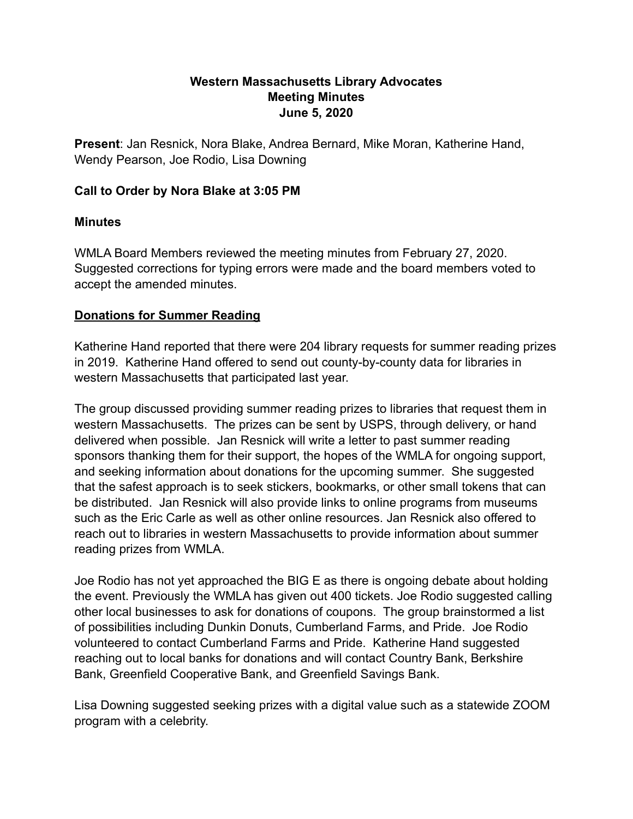#### **Western Massachusetts Library Advocates Meeting Minutes June 5, 2020**

**Present**: Jan Resnick, Nora Blake, Andrea Bernard, Mike Moran, Katherine Hand, Wendy Pearson, Joe Rodio, Lisa Downing

### **Call to Order by Nora Blake at 3:05 PM**

### **Minutes**

WMLA Board Members reviewed the meeting minutes from February 27, 2020. Suggested corrections for typing errors were made and the board members voted to accept the amended minutes.

## **Donations for Summer Reading**

Katherine Hand reported that there were 204 library requests for summer reading prizes in 2019. Katherine Hand offered to send out county-by-county data for libraries in western Massachusetts that participated last year.

The group discussed providing summer reading prizes to libraries that request them in western Massachusetts. The prizes can be sent by USPS, through delivery, or hand delivered when possible. Jan Resnick will write a letter to past summer reading sponsors thanking them for their support, the hopes of the WMLA for ongoing support, and seeking information about donations for the upcoming summer. She suggested that the safest approach is to seek stickers, bookmarks, or other small tokens that can be distributed. Jan Resnick will also provide links to online programs from museums such as the Eric Carle as well as other online resources. Jan Resnick also offered to reach out to libraries in western Massachusetts to provide information about summer reading prizes from WMLA.

Joe Rodio has not yet approached the BIG E as there is ongoing debate about holding the event. Previously the WMLA has given out 400 tickets. Joe Rodio suggested calling other local businesses to ask for donations of coupons. The group brainstormed a list of possibilities including Dunkin Donuts, Cumberland Farms, and Pride. Joe Rodio volunteered to contact Cumberland Farms and Pride. Katherine Hand suggested reaching out to local banks for donations and will contact Country Bank, Berkshire Bank, Greenfield Cooperative Bank, and Greenfield Savings Bank.

Lisa Downing suggested seeking prizes with a digital value such as a statewide ZOOM program with a celebrity.